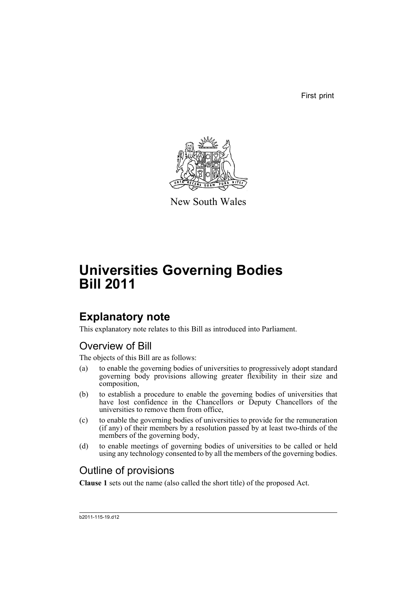First print



New South Wales

# **Universities Governing Bodies Bill 2011**

## **Explanatory note**

This explanatory note relates to this Bill as introduced into Parliament.

### Overview of Bill

The objects of this Bill are as follows:

- (a) to enable the governing bodies of universities to progressively adopt standard governing body provisions allowing greater flexibility in their size and composition,
- (b) to establish a procedure to enable the governing bodies of universities that have lost confidence in the Chancellors or Deputy Chancellors of the universities to remove them from office,
- (c) to enable the governing bodies of universities to provide for the remuneration (if any) of their members by a resolution passed by at least two-thirds of the members of the governing body,
- (d) to enable meetings of governing bodies of universities to be called or held using any technology consented to by all the members of the governing bodies.

## Outline of provisions

**Clause 1** sets out the name (also called the short title) of the proposed Act.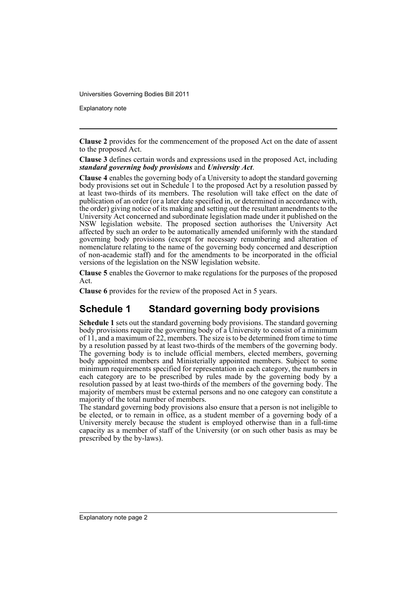Explanatory note

**Clause 2** provides for the commencement of the proposed Act on the date of assent to the proposed Act.

**Clause 3** defines certain words and expressions used in the proposed Act, including *standard governing body provisions* and *University Act*.

**Clause 4** enables the governing body of a University to adopt the standard governing body provisions set out in Schedule 1 to the proposed Act by a resolution passed by at least two-thirds of its members. The resolution will take effect on the date of publication of an order (or a later date specified in, or determined in accordance with, the order) giving notice of its making and setting out the resultant amendments to the University Act concerned and subordinate legislation made under it published on the NSW legislation website. The proposed section authorises the University Act affected by such an order to be automatically amended uniformly with the standard governing body provisions (except for necessary renumbering and alteration of nomenclature relating to the name of the governing body concerned and description of non-academic staff) and for the amendments to be incorporated in the official versions of the legislation on the NSW legislation website.

**Clause 5** enables the Governor to make regulations for the purposes of the proposed Act.

**Clause 6** provides for the review of the proposed Act in 5 years.

### **Schedule 1 Standard governing body provisions**

**Schedule 1** sets out the standard governing body provisions. The standard governing body provisions require the governing body of a University to consist of a minimum of 11, and a maximum of 22, members. The size is to be determined from time to time by a resolution passed by at least two-thirds of the members of the governing body. The governing body is to include official members, elected members, governing body appointed members and Ministerially appointed members. Subject to some minimum requirements specified for representation in each category, the numbers in each category are to be prescribed by rules made by the governing body by a resolution passed by at least two-thirds of the members of the governing body. The majority of members must be external persons and no one category can constitute a majority of the total number of members.

The standard governing body provisions also ensure that a person is not ineligible to be elected, or to remain in office, as a student member of a governing body of a University merely because the student is employed otherwise than in a full-time capacity as a member of staff of the University (or on such other basis as may be prescribed by the by-laws).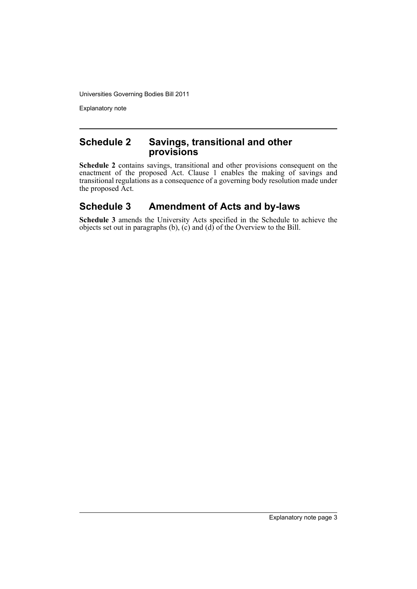Explanatory note

#### **Schedule 2 Savings, transitional and other provisions**

**Schedule 2** contains savings, transitional and other provisions consequent on the enactment of the proposed Act. Clause 1 enables the making of savings and transitional regulations as a consequence of a governing body resolution made under the proposed Act.

### **Schedule 3 Amendment of Acts and by-laws**

**Schedule 3** amends the University Acts specified in the Schedule to achieve the objects set out in paragraphs (b), (c) and (d) of the Overview to the Bill.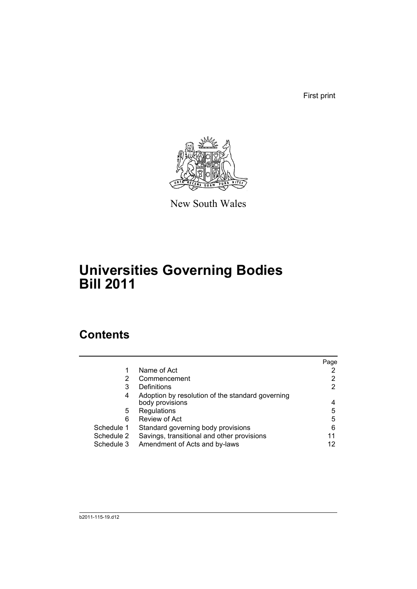First print



New South Wales

## **Universities Governing Bodies Bill 2011**

## **Contents**

|            |                                                  | Page |
|------------|--------------------------------------------------|------|
|            | Name of Act                                      |      |
| 2          | Commencement                                     | 2    |
| 3          | Definitions                                      | 2    |
| 4          | Adoption by resolution of the standard governing |      |
|            | body provisions                                  | 4    |
| 5.         | Regulations                                      | 5    |
| 6          | Review of Act                                    | 5    |
| Schedule 1 | Standard governing body provisions               | 6    |
| Schedule 2 | Savings, transitional and other provisions       | 11   |
| Schedule 3 | Amendment of Acts and by-laws                    | 12   |
|            |                                                  |      |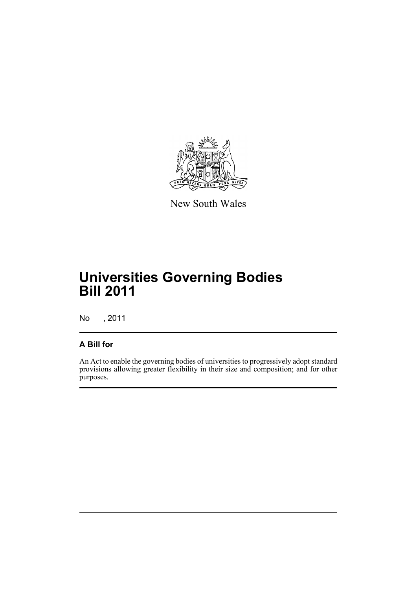

New South Wales

## **Universities Governing Bodies Bill 2011**

No , 2011

#### **A Bill for**

An Act to enable the governing bodies of universities to progressively adopt standard provisions allowing greater flexibility in their size and composition; and for other purposes.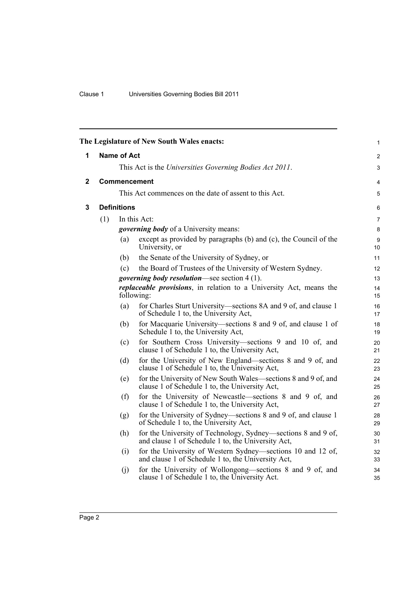<span id="page-7-2"></span><span id="page-7-1"></span><span id="page-7-0"></span>

|              |     |                     | The Legislature of New South Wales enacts:                                                                          | 1              |  |  |  |  |  |
|--------------|-----|---------------------|---------------------------------------------------------------------------------------------------------------------|----------------|--|--|--|--|--|
| 1            |     | <b>Name of Act</b>  |                                                                                                                     | $\overline{c}$ |  |  |  |  |  |
|              |     |                     | This Act is the Universities Governing Bodies Act 2011.                                                             | 3              |  |  |  |  |  |
| $\mathbf{2}$ |     | <b>Commencement</b> |                                                                                                                     |                |  |  |  |  |  |
|              |     |                     | This Act commences on the date of assent to this Act.                                                               | $\mathbf 5$    |  |  |  |  |  |
| 3            |     | <b>Definitions</b>  |                                                                                                                     | $\,6\,$        |  |  |  |  |  |
|              | (1) |                     | In this Act:                                                                                                        | 7              |  |  |  |  |  |
|              |     |                     | <i>governing body</i> of a University means:                                                                        | 8              |  |  |  |  |  |
|              |     | (a)                 | except as provided by paragraphs (b) and (c), the Council of the<br>University, or                                  | 9<br>10        |  |  |  |  |  |
|              |     | (b)                 | the Senate of the University of Sydney, or                                                                          | 11             |  |  |  |  |  |
|              |     | (c)                 | the Board of Trustees of the University of Western Sydney.                                                          | 12             |  |  |  |  |  |
|              |     |                     | <i>governing body resolution</i> —see section 4 (1).                                                                | 13             |  |  |  |  |  |
|              |     |                     | replaceable provisions, in relation to a University Act, means the<br>following:                                    | 14<br>15       |  |  |  |  |  |
|              |     | (a)                 | for Charles Sturt University—sections 8A and 9 of, and clause 1<br>of Schedule 1 to, the University Act,            | 16<br>17       |  |  |  |  |  |
|              |     | (b)                 | for Macquarie University—sections 8 and 9 of, and clause 1 of<br>Schedule 1 to, the University Act,                 | 18<br>19       |  |  |  |  |  |
|              |     | (c)                 | for Southern Cross University—sections 9 and 10 of, and<br>clause 1 of Schedule 1 to, the University Act,           | 20<br>21       |  |  |  |  |  |
|              |     | (d)                 | for the University of New England—sections 8 and 9 of, and<br>clause 1 of Schedule 1 to, the University Act,        | 22<br>23       |  |  |  |  |  |
|              |     | (e)                 | for the University of New South Wales—sections 8 and 9 of, and<br>clause 1 of Schedule 1 to, the University Act,    | 24<br>25       |  |  |  |  |  |
|              |     | (f)                 | for the University of Newcastle—sections 8 and 9 of, and<br>clause 1 of Schedule 1 to, the University Act,          | 26<br>27       |  |  |  |  |  |
|              |     | (g)                 | for the University of Sydney—sections 8 and 9 of, and clause 1<br>of Schedule 1 to, the University Act,             | 28<br>29       |  |  |  |  |  |
|              |     | (h)                 | for the University of Technology, Sydney—sections 8 and 9 of,<br>and clause 1 of Schedule 1 to, the University Act, | $30\,$<br>31   |  |  |  |  |  |
|              |     | (i)                 | for the University of Western Sydney—sections 10 and 12 of,<br>and clause 1 of Schedule 1 to, the University Act,   | 32<br>33       |  |  |  |  |  |
|              |     | (j)                 | for the University of Wollongong—sections 8 and 9 of, and<br>clause 1 of Schedule 1 to, the University Act.         | 34<br>35       |  |  |  |  |  |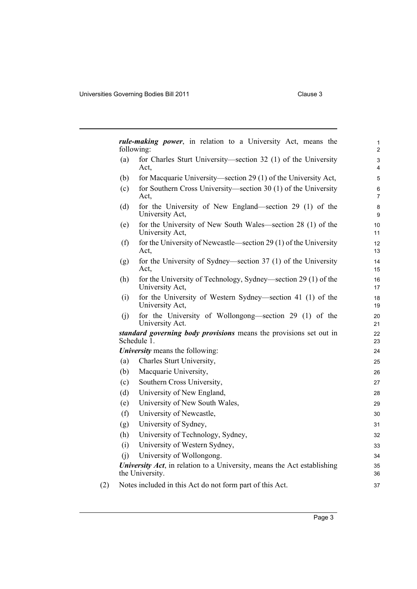| (a) | for Charles Sturt University—section 32 (1) of the University                              |  |
|-----|--------------------------------------------------------------------------------------------|--|
|     | Act.                                                                                       |  |
| (b) | for Macquarie University—section 29 (1) of the University Act,                             |  |
| (c) | for Southern Cross University—section 30 (1) of the University<br>Act,                     |  |
| (d) | for the University of New England—section 29 (1) of the<br>University Act,                 |  |
| (e) | for the University of New South Wales—section 28 (1) of the<br>University Act,             |  |
| (f) | for the University of Newcastle—section 29 (1) of the University<br>Act,                   |  |
| (g) | for the University of Sydney—section 37 (1) of the University<br>Act,                      |  |
| (h) | for the University of Technology, Sydney—section 29 (1) of the<br>University Act,          |  |
| (i) | for the University of Western Sydney—section 41 (1) of the<br>University Act,              |  |
| (j) | for the University of Wollongong—section 29 (1) of the<br>University Act.                  |  |
|     | standard governing body provisions means the provisions set out in<br>Schedule 1.          |  |
|     | <b>University</b> means the following:                                                     |  |
| (a) | Charles Sturt University,                                                                  |  |
| (b) | Macquarie University,                                                                      |  |
| (c) | Southern Cross University,                                                                 |  |
| (d) | University of New England,                                                                 |  |
| (e) | University of New South Wales,                                                             |  |
| (f) | University of Newcastle,                                                                   |  |
| (g) | University of Sydney,                                                                      |  |
| (h) | University of Technology, Sydney,                                                          |  |
| (i) | University of Western Sydney,                                                              |  |
| (i) | University of Wollongong.                                                                  |  |
|     | University Act, in relation to a University, means the Act establishing<br>the University. |  |
|     |                                                                                            |  |
|     | Notes included in this Act do not form part of this Act.                                   |  |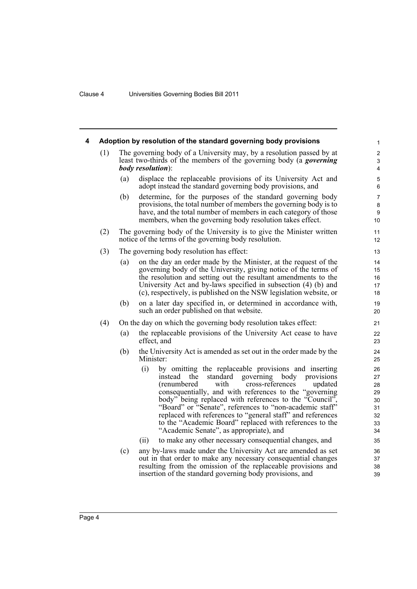<span id="page-9-0"></span>

| 4 | Adoption by resolution of the standard governing body provisions |                                                                 |                                                                                                                                                                                                                                                                                                                                                                                                                                                                                                                                 |                                                    |  |  |  |
|---|------------------------------------------------------------------|-----------------------------------------------------------------|---------------------------------------------------------------------------------------------------------------------------------------------------------------------------------------------------------------------------------------------------------------------------------------------------------------------------------------------------------------------------------------------------------------------------------------------------------------------------------------------------------------------------------|----------------------------------------------------|--|--|--|
|   | (1)                                                              |                                                                 | The governing body of a University may, by a resolution passed by at<br>least two-thirds of the members of the governing body (a <i>governing</i><br><i>body resolution</i> ):                                                                                                                                                                                                                                                                                                                                                  | $\overline{\mathbf{c}}$<br>3<br>4                  |  |  |  |
|   |                                                                  | (a)                                                             | displace the replaceable provisions of its University Act and<br>adopt instead the standard governing body provisions, and                                                                                                                                                                                                                                                                                                                                                                                                      | 5<br>6                                             |  |  |  |
|   |                                                                  | (b)                                                             | determine, for the purposes of the standard governing body<br>provisions, the total number of members the governing body is to<br>have, and the total number of members in each category of those<br>members, when the governing body resolution takes effect.                                                                                                                                                                                                                                                                  | 7<br>8<br>9<br>10                                  |  |  |  |
|   | (2)                                                              |                                                                 | The governing body of the University is to give the Minister written<br>notice of the terms of the governing body resolution.                                                                                                                                                                                                                                                                                                                                                                                                   | 11<br>12                                           |  |  |  |
|   | (3)                                                              |                                                                 | The governing body resolution has effect:                                                                                                                                                                                                                                                                                                                                                                                                                                                                                       | 13                                                 |  |  |  |
|   |                                                                  | (a)                                                             | on the day an order made by the Minister, at the request of the<br>governing body of the University, giving notice of the terms of<br>the resolution and setting out the resultant amendments to the<br>University Act and by-laws specified in subsection (4) (b) and<br>(c), respectively, is published on the NSW legislation website, or                                                                                                                                                                                    | 14<br>15<br>16<br>17<br>18                         |  |  |  |
|   |                                                                  | (b)                                                             | on a later day specified in, or determined in accordance with,<br>such an order published on that website.                                                                                                                                                                                                                                                                                                                                                                                                                      | 19<br>20                                           |  |  |  |
|   | (4)                                                              | On the day on which the governing body resolution takes effect: |                                                                                                                                                                                                                                                                                                                                                                                                                                                                                                                                 |                                                    |  |  |  |
|   |                                                                  | (a)                                                             | the replaceable provisions of the University Act cease to have<br>effect, and                                                                                                                                                                                                                                                                                                                                                                                                                                                   | 22<br>23                                           |  |  |  |
|   |                                                                  | (b)                                                             | the University Act is amended as set out in the order made by the<br>Minister:                                                                                                                                                                                                                                                                                                                                                                                                                                                  | 24<br>25                                           |  |  |  |
|   |                                                                  |                                                                 | (i)<br>by omitting the replaceable provisions and inserting<br>instead the<br>standard<br>governing body<br>provisions<br>(renumbered<br>with<br>cross-references<br>updated<br>consequentially, and with references to the "governing<br>body" being replaced with references to the "Council",<br>"Board" or "Senate", references to "non-academic staff"<br>replaced with references to "general staff" and references<br>to the "Academic Board" replaced with references to the<br>"Academic Senate", as appropriate), and | 26<br>27<br>28<br>29<br>30<br>31<br>32<br>33<br>34 |  |  |  |
|   |                                                                  |                                                                 | to make any other necessary consequential changes, and<br>(ii)                                                                                                                                                                                                                                                                                                                                                                                                                                                                  | 35                                                 |  |  |  |
|   |                                                                  | (c)                                                             | any by-laws made under the University Act are amended as set<br>out in that order to make any necessary consequential changes<br>resulting from the omission of the replaceable provisions and<br>insertion of the standard governing body provisions, and                                                                                                                                                                                                                                                                      | 36<br>37<br>38<br>39                               |  |  |  |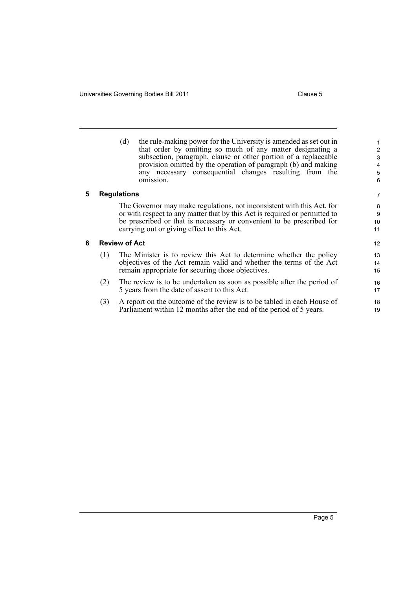<span id="page-10-1"></span><span id="page-10-0"></span>

|   |     | the rule-making power for the University is amended as set out in<br>(d)<br>that order by omitting so much of any matter designating a<br>subsection, paragraph, clause or other portion of a replaceable<br>provision omitted by the operation of paragraph (b) and making<br>any necessary consequential changes resulting from the<br>omission. | $\overline{2}$<br>3<br>$\overline{4}$<br>5<br>6 |
|---|-----|----------------------------------------------------------------------------------------------------------------------------------------------------------------------------------------------------------------------------------------------------------------------------------------------------------------------------------------------------|-------------------------------------------------|
| 5 |     | <b>Regulations</b>                                                                                                                                                                                                                                                                                                                                 | 7                                               |
|   |     | The Governor may make regulations, not inconsistent with this Act, for<br>or with respect to any matter that by this Act is required or permitted to<br>be prescribed or that is necessary or convenient to be prescribed for<br>carrying out or giving effect to this Act.                                                                        | 8<br>9<br>10<br>11                              |
| 6 |     | <b>Review of Act</b>                                                                                                                                                                                                                                                                                                                               | 12                                              |
|   | (1) | The Minister is to review this Act to determine whether the policy<br>objectives of the Act remain valid and whether the terms of the Act<br>remain appropriate for securing those objectives.                                                                                                                                                     | 13<br>14<br>15                                  |
|   | (2) | The review is to be undertaken as soon as possible after the period of<br>5 years from the date of assent to this Act.                                                                                                                                                                                                                             | 16<br>17                                        |
|   | (3) | A report on the outcome of the review is to be tabled in each House of<br>Parliament within 12 months after the end of the period of 5 years.                                                                                                                                                                                                      | 18<br>19                                        |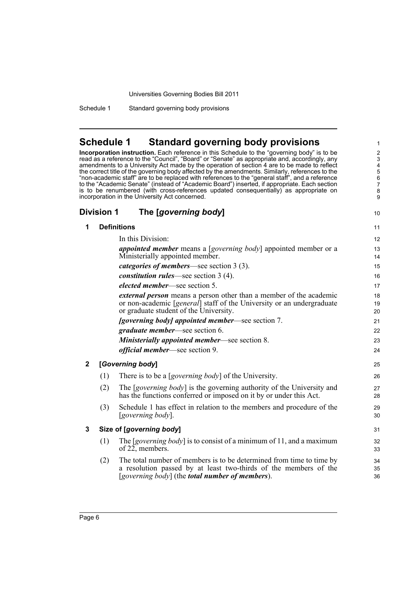Schedule 1 Standard governing body provisions

#### <span id="page-11-0"></span>**Schedule 1 Standard governing body provisions**

**Incorporation instruction.** Each reference in this Schedule to the "governing body" is to be read as a reference to the "Council", "Board" or "Senate" as appropriate and, accordingly, any amendments to a University Act made by the operation of section 4 are to be made to reflect the correct title of the governing body affected by the amendments. Similarly, references to the "non-academic staff" are to be replaced with references to the "general staff", and a reference to the "Academic Senate" (instead of "Academic Board") inserted, if appropriate. Each section is to be renumbered (with cross-references updated consequentially) as appropriate on incorporation in the University Act concerned.

34 35 36

#### **Division 1 The [***governing body***] 1 Definitions** In this Division: *appointed member* means a [*governing body*] appointed member or a Ministerially appointed member. *categories of members*—see section 3 (3). *constitution rules*—see section 3 (4). *elected member*—see section 5. *external person* means a person other than a member of the academic or non-academic [*general*] staff of the University or an undergraduate or graduate student of the University. *[governing body] appointed member*—see section 7. *graduate member*—see section 6. *Ministerially appointed member*—see section 8. *official member*—see section 9. **2 [***Governing body***]** (1) There is to be a [*governing body*] of the University. (2) The [*governing body*] is the governing authority of the University and has the functions conferred or imposed on it by or under this Act. (3) Schedule 1 has effect in relation to the members and procedure of the [*governing body*]. **3 Size of [***governing body***]** (1) The [*governing body*] is to consist of a minimum of 11, and a maximum of 22, members.  $10$ 11 12 13 14 15 16 17 18 19 20  $21$  $22$ 23  $24$ 25 26 27 28 29 30 31 32 33

(2) The total number of members is to be determined from time to time by a resolution passed by at least two-thirds of the members of the [*governing body*] (the *total number of members*).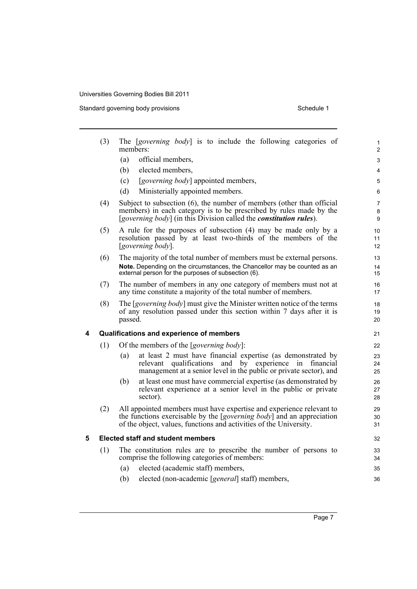Standard governing body provisions Schedule 1

|   | (3) | The [governing body] is to include the following categories of<br>members:                                                                       | 1<br>$\overline{2}$ |
|---|-----|--------------------------------------------------------------------------------------------------------------------------------------------------|---------------------|
|   |     | (a)<br>official members,                                                                                                                         | 3                   |
|   |     | elected members,<br>(b)                                                                                                                          | 4                   |
|   |     | [governing body] appointed members,<br>(c)                                                                                                       | 5                   |
|   |     | (d)<br>Ministerially appointed members.                                                                                                          | 6                   |
|   | (4) | Subject to subsection (6), the number of members (other than official                                                                            | $\overline{7}$      |
|   |     | members) in each category is to be prescribed by rules made by the<br>[governing body] (in this Division called the <i>constitution rules</i> ). | 8                   |
|   |     |                                                                                                                                                  | 9                   |
|   | (5) | A rule for the purposes of subsection (4) may be made only by a<br>resolution passed by at least two-thirds of the members of the                | 10<br>11            |
|   |     | [governing body].                                                                                                                                | 12                  |
|   | (6) | The majority of the total number of members must be external persons.                                                                            | 13                  |
|   |     | Note. Depending on the circumstances, the Chancellor may be counted as an                                                                        | 14                  |
|   |     | external person for the purposes of subsection (6).                                                                                              | 15                  |
|   | (7) | The number of members in any one category of members must not at<br>any time constitute a majority of the total number of members.               | 16<br>17            |
|   | (8) | The [governing body] must give the Minister written notice of the terms                                                                          | 18                  |
|   |     | of any resolution passed under this section within 7 days after it is<br>passed.                                                                 | 19<br>20            |
|   |     |                                                                                                                                                  |                     |
| 4 |     | Qualifications and experience of members                                                                                                         | 21                  |
|   | (1) | Of the members of the [governing body]:                                                                                                          | 22                  |
|   |     | at least 2 must have financial expertise (as demonstrated by<br>(a)<br>relevant qualifications and by experience in<br>financial                 | 23<br>24            |
|   |     | management at a senior level in the public or private sector), and                                                                               | 25                  |
|   |     | at least one must have commercial expertise (as demonstrated by<br>(b)                                                                           | 26                  |
|   |     | relevant experience at a senior level in the public or private                                                                                   | 27                  |
|   |     | sector).                                                                                                                                         | 28                  |
|   | (2) | All appointed members must have expertise and experience relevant to<br>the functions exercisable by the [governing body] and an appreciation    | 29<br>30            |
|   |     | of the object, values, functions and activities of the University.                                                                               | 31                  |
| 5 |     | <b>Elected staff and student members</b>                                                                                                         | 32                  |
|   | (1) | The constitution rules are to prescribe the number of persons to                                                                                 | 33                  |
|   |     | comprise the following categories of members:                                                                                                    | 34                  |
|   |     | elected (academic staff) members,<br>(a)                                                                                                         | 35                  |
|   |     | (b)<br>elected (non-academic [general] staff) members,                                                                                           | 36                  |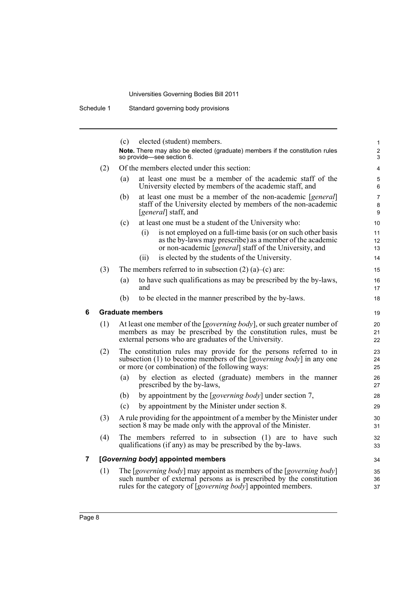Schedule 1 Standard governing body provisions

(c) elected (student) members. **Note.** There may also be elected (graduate) members if the constitution rules so provide—see section 6. (2) Of the members elected under this section: (a) at least one must be a member of the academic staff of the University elected by members of the academic staff, and (b) at least one must be a member of the non-academic [*general*] staff of the University elected by members of the non-academic [*general*] staff, and (c) at least one must be a student of the University who: (i) is not employed on a full-time basis (or on such other basis as the by-laws may prescribe) as a member of the academic or non-academic [*general*] staff of the University, and (ii) is elected by the students of the University. (3) The members referred to in subsection  $(2)$  (a)–(c) are: (a) to have such qualifications as may be prescribed by the by-laws, and (b) to be elected in the manner prescribed by the by-laws. **6 Graduate members** (1) At least one member of the [*governing body*], or such greater number of members as may be prescribed by the constitution rules, must be external persons who are graduates of the University. (2) The constitution rules may provide for the persons referred to in subsection (1) to become members of the [*governing body*] in any one or more (or combination) of the following ways: (a) by election as elected (graduate) members in the manner prescribed by the by-laws, (b) by appointment by the [*governing body*] under section 7, (c) by appointment by the Minister under section 8. (3) A rule providing for the appointment of a member by the Minister under section 8 may be made only with the approval of the Minister. (4) The members referred to in subsection (1) are to have such qualifications (if any) as may be prescribed by the by-laws. **7 [***Governing body***] appointed members** (1) The [*governing body*] may appoint as members of the [*governing body*] such number of external persons as is prescribed by the constitution rules for the category of [*governing body*] appointed members. 1 2 3  $\lambda$ 5 6 7 8 9 10 11 12 13 14 15 16 17 18 19 20 21 22 23 24 25 26 27 28 29 30 31 32 33 34 35 36 37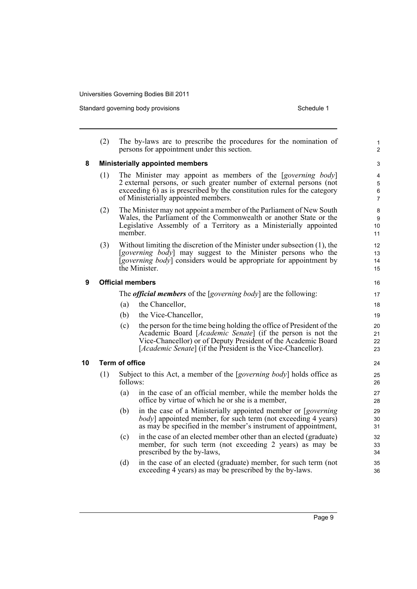Standard governing body provisions Schedule 1

|    | (2)                     |                                        | The by-laws are to prescribe the procedures for the nomination of<br>persons for appointment under this section.                                                                                                                                                    | $\mathbf{1}$<br>$\overline{2}$ |  |  |  |  |
|----|-------------------------|----------------------------------------|---------------------------------------------------------------------------------------------------------------------------------------------------------------------------------------------------------------------------------------------------------------------|--------------------------------|--|--|--|--|
| 8  |                         | <b>Ministerially appointed members</b> |                                                                                                                                                                                                                                                                     |                                |  |  |  |  |
|    | (1)                     |                                        | The Minister may appoint as members of the [governing body]<br>2 external persons, or such greater number of external persons (not<br>exceeding $\overline{6}$ ) as is prescribed by the constitution rules for the category<br>of Ministerially appointed members. | 4<br>5<br>6<br>$\overline{7}$  |  |  |  |  |
|    | (2)                     | member.                                | The Minister may not appoint a member of the Parliament of New South<br>Wales, the Parliament of the Commonwealth or another State or the<br>Legislative Assembly of a Territory as a Ministerially appointed                                                       | 8<br>9<br>10<br>11             |  |  |  |  |
|    | (3)                     |                                        | Without limiting the discretion of the Minister under subsection (1), the<br>[governing body] may suggest to the Minister persons who the<br><i>[governing body]</i> considers would be appropriate for appointment by<br>the Minister.                             | 12<br>13<br>14<br>15           |  |  |  |  |
| 9  | <b>Official members</b> |                                        |                                                                                                                                                                                                                                                                     |                                |  |  |  |  |
|    |                         |                                        | The <i>official members</i> of the [ <i>governing body</i> ] are the following:                                                                                                                                                                                     | 17                             |  |  |  |  |
|    |                         | (a)                                    | the Chancellor,                                                                                                                                                                                                                                                     | 18                             |  |  |  |  |
|    |                         | (b)                                    | the Vice-Chancellor,                                                                                                                                                                                                                                                | 19                             |  |  |  |  |
|    |                         | (c)                                    | the person for the time being holding the office of President of the<br>Academic Board [Academic Senate] (if the person is not the<br>Vice-Chancellor) or of Deputy President of the Academic Board<br>[Academic Senate] (if the President is the Vice-Chancellor). | 20<br>21<br>22<br>23           |  |  |  |  |
| 10 | <b>Term of office</b>   |                                        |                                                                                                                                                                                                                                                                     |                                |  |  |  |  |
|    | (1)                     | follows:                               | Subject to this Act, a member of the [governing body] holds office as                                                                                                                                                                                               | 25<br>26                       |  |  |  |  |
|    |                         | (a)                                    | in the case of an official member, while the member holds the<br>office by virtue of which he or she is a member,                                                                                                                                                   | 27<br>28                       |  |  |  |  |
|    |                         | (b)                                    | in the case of a Ministerially appointed member or [governing]<br><i>body</i> ] appointed member, for such term (not exceeding 4 years)<br>as may be specified in the member's instrument of appointment,                                                           | 29<br>30<br>31                 |  |  |  |  |
|    |                         | (c)                                    | in the case of an elected member other than an elected (graduate)<br>member, for such term (not exceeding 2 years) as may be<br>prescribed by the by-laws,                                                                                                          | 32<br>33<br>34                 |  |  |  |  |
|    |                         | (d)                                    | in the case of an elected (graduate) member, for such term (not<br>exceeding 4 years) as may be prescribed by the by-laws.                                                                                                                                          | 35<br>36                       |  |  |  |  |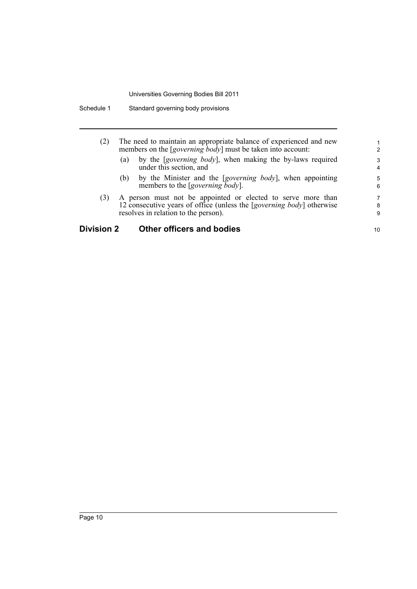| (2)     | The need to maintain an appropriate balance of experienced and new<br>members on the $[governing\, \dot{b} \text{od} \dot{v}]$ must be taken into account: |        |  |
|---------|------------------------------------------------------------------------------------------------------------------------------------------------------------|--------|--|
|         | by the [governing body], when making the by-laws required<br>(a)<br>under this section, and                                                                | 3<br>4 |  |
|         | by the Minister and the [governing body], when appointing<br>(b)<br>members to the [governing body].                                                       | 5<br>6 |  |
| (3)     | A person must not be appointed or elected to serve more than                                                                                               | 7      |  |
|         | 12 consecutive years of office (unless the [governing body] otherwise                                                                                      | 8      |  |
|         | resolves in relation to the person).                                                                                                                       | 9      |  |
| ision 2 | Other officers and bodies                                                                                                                                  | 10     |  |

### **Division 2 Other officers and bodies**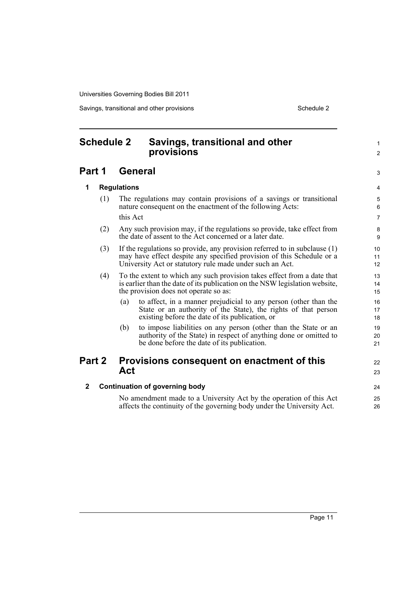Savings, transitional and other provisions Schedule 2 Schedule 2

<span id="page-16-0"></span>

| <b>Schedule 2</b> |                                                                                                                                                                                                                       |                                                                                                                                                                                                 | Savings, transitional and other<br>provisions                                                                                                                                         | $\mathbf{1}$<br>$\overline{2}$ |  |  |
|-------------------|-----------------------------------------------------------------------------------------------------------------------------------------------------------------------------------------------------------------------|-------------------------------------------------------------------------------------------------------------------------------------------------------------------------------------------------|---------------------------------------------------------------------------------------------------------------------------------------------------------------------------------------|--------------------------------|--|--|
| Part 1            |                                                                                                                                                                                                                       |                                                                                                                                                                                                 | <b>General</b>                                                                                                                                                                        | 3                              |  |  |
| 1                 |                                                                                                                                                                                                                       | <b>Regulations</b>                                                                                                                                                                              |                                                                                                                                                                                       | $\overline{4}$                 |  |  |
|                   | (1)                                                                                                                                                                                                                   |                                                                                                                                                                                                 | The regulations may contain provisions of a savings or transitional<br>nature consequent on the enactment of the following Acts:                                                      | 5<br>6                         |  |  |
|                   |                                                                                                                                                                                                                       | this Act                                                                                                                                                                                        |                                                                                                                                                                                       | $\overline{7}$                 |  |  |
|                   | (2)<br>Any such provision may, if the regulations so provide, take effect from<br>the date of assent to the Act concerned or a later date.                                                                            |                                                                                                                                                                                                 |                                                                                                                                                                                       |                                |  |  |
|                   | If the regulations so provide, any provision referred to in subclause (1)<br>(3)<br>may have effect despite any specified provision of this Schedule or a<br>University Act or statutory rule made under such an Act. |                                                                                                                                                                                                 |                                                                                                                                                                                       |                                |  |  |
|                   | (4)                                                                                                                                                                                                                   | To the extent to which any such provision takes effect from a date that<br>is earlier than the date of its publication on the NSW legislation website,<br>the provision does not operate so as: |                                                                                                                                                                                       |                                |  |  |
|                   |                                                                                                                                                                                                                       | (a)                                                                                                                                                                                             | to affect, in a manner prejudicial to any person (other than the<br>State or an authority of the State), the rights of that person<br>existing before the date of its publication, or | 16<br>17<br>18                 |  |  |
|                   |                                                                                                                                                                                                                       | (b)                                                                                                                                                                                             | to impose liabilities on any person (other than the State or an<br>authority of the State) in respect of anything done or omitted to<br>be done before the date of its publication.   | 19<br>20<br>21                 |  |  |
| Part 2            |                                                                                                                                                                                                                       | Act                                                                                                                                                                                             | Provisions consequent on enactment of this                                                                                                                                            | 22                             |  |  |
|                   |                                                                                                                                                                                                                       |                                                                                                                                                                                                 |                                                                                                                                                                                       | 23                             |  |  |
| $\mathbf{2}$      |                                                                                                                                                                                                                       |                                                                                                                                                                                                 | <b>Continuation of governing body</b>                                                                                                                                                 | 24                             |  |  |
|                   |                                                                                                                                                                                                                       |                                                                                                                                                                                                 | No amendment made to a University Act by the operation of this Act<br>affects the continuity of the governing body under the University Act.                                          | 25<br>26                       |  |  |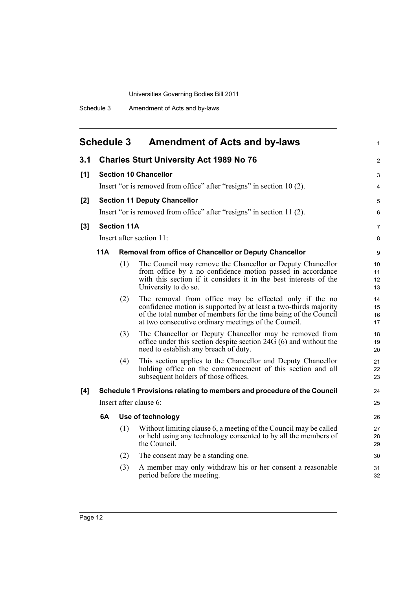<span id="page-17-0"></span>

|       | <b>Schedule 3</b> |                    | <b>Amendment of Acts and by-laws</b>                                                                                                                                                                                                                   |  |
|-------|-------------------|--------------------|--------------------------------------------------------------------------------------------------------------------------------------------------------------------------------------------------------------------------------------------------------|--|
| 3.1   |                   |                    | <b>Charles Sturt University Act 1989 No 76</b>                                                                                                                                                                                                         |  |
| [1]   |                   |                    | <b>Section 10 Chancellor</b>                                                                                                                                                                                                                           |  |
|       |                   |                    | Insert "or is removed from office" after "resigns" in section 10(2).                                                                                                                                                                                   |  |
| $[2]$ |                   |                    | <b>Section 11 Deputy Chancellor</b>                                                                                                                                                                                                                    |  |
|       |                   |                    | Insert "or is removed from office" after "resigns" in section 11 (2).                                                                                                                                                                                  |  |
| $[3]$ |                   | <b>Section 11A</b> |                                                                                                                                                                                                                                                        |  |
|       |                   |                    | Insert after section 11:                                                                                                                                                                                                                               |  |
|       | 11A               |                    | Removal from office of Chancellor or Deputy Chancellor                                                                                                                                                                                                 |  |
|       |                   | (1)                | The Council may remove the Chancellor or Deputy Chancellor<br>from office by a no confidence motion passed in accordance<br>with this section if it considers it in the best interests of the<br>University to do so.                                  |  |
|       |                   | (2)                | The removal from office may be effected only if the no<br>confidence motion is supported by at least a two-thirds majority<br>of the total number of members for the time being of the Council<br>at two consecutive ordinary meetings of the Council. |  |
|       |                   | (3)                | The Chancellor or Deputy Chancellor may be removed from<br>office under this section despite section $24\overline{G}(6)$ and without the<br>need to establish any breach of duty.                                                                      |  |
|       |                   | (4)                | This section applies to the Chancellor and Deputy Chancellor<br>holding office on the commencement of this section and all<br>subsequent holders of those offices.                                                                                     |  |
| [4]   |                   |                    | Schedule 1 Provisions relating to members and procedure of the Council                                                                                                                                                                                 |  |
|       |                   |                    | Insert after clause 6:                                                                                                                                                                                                                                 |  |
|       | 6A                |                    | Use of technology                                                                                                                                                                                                                                      |  |
|       |                   | (1)                | Without limiting clause 6, a meeting of the Council may be called<br>or held using any technology consented to by all the members of<br>the Council.                                                                                                   |  |
|       |                   | (2)                | The consent may be a standing one.                                                                                                                                                                                                                     |  |
|       |                   | (3)                | A member may only withdraw his or her consent a reasonable<br>period before the meeting.                                                                                                                                                               |  |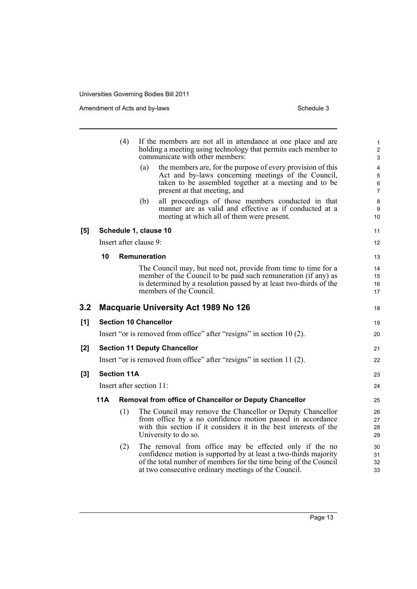|       |                    | (4)                      | If the members are not all in attendance at one place and are<br>holding a meeting using technology that permits each member to<br>communicate with other members:                                                                                     | 1<br>$\overline{\mathbf{c}}$<br>3   |  |  |  |
|-------|--------------------|--------------------------|--------------------------------------------------------------------------------------------------------------------------------------------------------------------------------------------------------------------------------------------------------|-------------------------------------|--|--|--|
|       |                    |                          | the members are, for the purpose of every provision of this<br>(a)<br>Act and by-laws concerning meetings of the Council,<br>taken to be assembled together at a meeting and to be<br>present at that meeting, and                                     | 4<br>5<br>$\,6\,$<br>$\overline{7}$ |  |  |  |
|       |                    |                          | all proceedings of those members conducted in that<br>(b)<br>manner are as valid and effective as if conducted at a<br>meeting at which all of them were present.                                                                                      | $\bf 8$<br>9<br>10                  |  |  |  |
| [5]   |                    |                          | Schedule 1, clause 10                                                                                                                                                                                                                                  | 11                                  |  |  |  |
|       |                    |                          | Insert after clause 9:                                                                                                                                                                                                                                 | 12 <sup>2</sup>                     |  |  |  |
|       | 10                 |                          | <b>Remuneration</b>                                                                                                                                                                                                                                    | 13                                  |  |  |  |
|       |                    |                          | The Council may, but need not, provide from time to time for a<br>member of the Council to be paid such remuneration (if any) as<br>is determined by a resolution passed by at least two-thirds of the<br>members of the Council.                      | 14<br>15<br>16<br>17                |  |  |  |
| 3.2   |                    |                          | <b>Macquarie University Act 1989 No 126</b>                                                                                                                                                                                                            | 18                                  |  |  |  |
| [1]   |                    |                          | <b>Section 10 Chancellor</b>                                                                                                                                                                                                                           | 19                                  |  |  |  |
|       |                    |                          | Insert "or is removed from office" after "resigns" in section 10 (2).                                                                                                                                                                                  | 20                                  |  |  |  |
| [2]   |                    |                          | <b>Section 11 Deputy Chancellor</b>                                                                                                                                                                                                                    | 21                                  |  |  |  |
|       |                    |                          | Insert "or is removed from office" after "resigns" in section 11 (2).                                                                                                                                                                                  | 22                                  |  |  |  |
| $[3]$ | <b>Section 11A</b> |                          |                                                                                                                                                                                                                                                        | 23                                  |  |  |  |
|       |                    | Insert after section 11: |                                                                                                                                                                                                                                                        |                                     |  |  |  |
|       | 11A                |                          | <b>Removal from office of Chancellor or Deputy Chancellor</b>                                                                                                                                                                                          | 25                                  |  |  |  |
|       |                    | (1)                      | The Council may remove the Chancellor or Deputy Chancellor<br>from office by a no confidence motion passed in accordance<br>with this section if it considers it in the best interests of the<br>University to do so.                                  | 26<br>27<br>28<br>29                |  |  |  |
|       |                    | (2)                      | The removal from office may be effected only if the no<br>confidence motion is supported by at least a two-thirds majority<br>of the total number of members for the time being of the Council<br>at two consecutive ordinary meetings of the Council. | 30<br>31<br>32<br>33                |  |  |  |
|       |                    |                          |                                                                                                                                                                                                                                                        |                                     |  |  |  |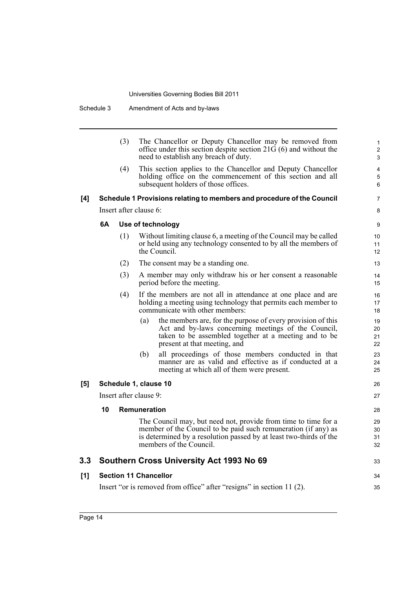|     |    | (3)                    |              | The Chancellor or Deputy Chancellor may be removed from<br>office under this section despite section $21G(6)$ and without the<br>need to establish any breach of duty.                                                            | 1<br>$\overline{\mathbf{c}}$<br>3 |
|-----|----|------------------------|--------------|-----------------------------------------------------------------------------------------------------------------------------------------------------------------------------------------------------------------------------------|-----------------------------------|
|     |    | (4)                    |              | This section applies to the Chancellor and Deputy Chancellor<br>holding office on the commencement of this section and all<br>subsequent holders of those offices.                                                                | 4<br>5<br>6                       |
| [4] |    |                        |              | Schedule 1 Provisions relating to members and procedure of the Council                                                                                                                                                            | 7                                 |
|     |    | Insert after clause 6: |              |                                                                                                                                                                                                                                   | 8                                 |
|     | 6A |                        |              | Use of technology                                                                                                                                                                                                                 | 9                                 |
|     |    | (1)                    |              | Without limiting clause 6, a meeting of the Council may be called<br>or held using any technology consented to by all the members of<br>the Council.                                                                              | 10<br>11<br>12                    |
|     |    | (2)                    |              | The consent may be a standing one.                                                                                                                                                                                                | 13                                |
|     |    | (3)                    |              | A member may only withdraw his or her consent a reasonable<br>period before the meeting.                                                                                                                                          | 14<br>15                          |
|     |    | (4)                    |              | If the members are not all in attendance at one place and are<br>holding a meeting using technology that permits each member to<br>communicate with other members:                                                                | 16<br>17<br>18                    |
|     |    |                        | (a)          | the members are, for the purpose of every provision of this<br>Act and by-laws concerning meetings of the Council,<br>taken to be assembled together at a meeting and to be<br>present at that meeting, and                       | 19<br>20<br>21<br>22              |
|     |    |                        | (b)          | all proceedings of those members conducted in that<br>manner are as valid and effective as if conducted at a<br>meeting at which all of them were present.                                                                        | 23<br>24<br>25                    |
| [5] |    | Schedule 1, clause 10  |              |                                                                                                                                                                                                                                   | 26                                |
|     |    | Insert after clause 9: |              |                                                                                                                                                                                                                                   | 27                                |
|     | 10 |                        | Remuneration |                                                                                                                                                                                                                                   | 28                                |
|     |    |                        |              | The Council may, but need not, provide from time to time for a<br>member of the Council to be paid such remuneration (if any) as<br>is determined by a resolution passed by at least two-thirds of the<br>members of the Council. | 29<br>30<br>31<br>32              |
| 3.3 |    |                        |              | Southern Cross University Act 1993 No 69                                                                                                                                                                                          | 33                                |
| [1] |    |                        |              | <b>Section 11 Chancellor</b>                                                                                                                                                                                                      | 34                                |
|     |    |                        |              | Insert "or is removed from office" after "resigns" in section 11 (2).                                                                                                                                                             | 35                                |
|     |    |                        |              |                                                                                                                                                                                                                                   |                                   |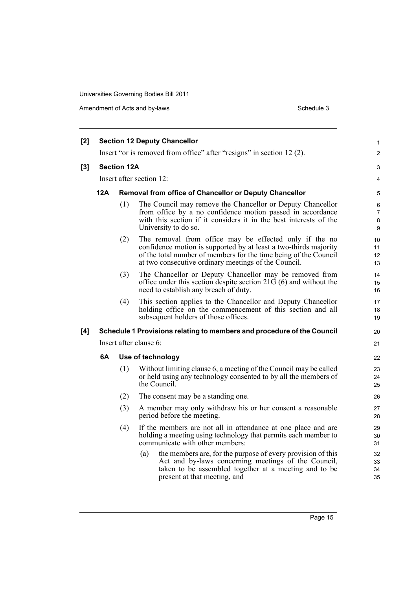| [2]   |     |                                                        | <b>Section 12 Deputy Chancellor</b>                                                                                                                                                                                                                    | $\mathbf{1}$                |  |  |
|-------|-----|--------------------------------------------------------|--------------------------------------------------------------------------------------------------------------------------------------------------------------------------------------------------------------------------------------------------------|-----------------------------|--|--|
|       |     |                                                        | Insert "or is removed from office" after "resigns" in section 12 (2).                                                                                                                                                                                  | $\overline{2}$              |  |  |
| $[3]$ |     | <b>Section 12A</b>                                     |                                                                                                                                                                                                                                                        | 3                           |  |  |
|       |     |                                                        | Insert after section 12:                                                                                                                                                                                                                               | 4                           |  |  |
|       | 12A | Removal from office of Chancellor or Deputy Chancellor |                                                                                                                                                                                                                                                        |                             |  |  |
|       |     | (1)                                                    | The Council may remove the Chancellor or Deputy Chancellor<br>from office by a no confidence motion passed in accordance<br>with this section if it considers it in the best interests of the<br>University to do so.                                  | 5<br>6<br>7<br>$\bf 8$<br>9 |  |  |
|       |     | (2)                                                    | The removal from office may be effected only if the no<br>confidence motion is supported by at least a two-thirds majority<br>of the total number of members for the time being of the Council<br>at two consecutive ordinary meetings of the Council. | 10<br>11<br>12<br>13        |  |  |
|       |     | (3)                                                    | The Chancellor or Deputy Chancellor may be removed from<br>office under this section despite section $21\overline{G}(6)$ and without the<br>need to establish any breach of duty.                                                                      | 14<br>15<br>16              |  |  |
|       |     | (4)                                                    | This section applies to the Chancellor and Deputy Chancellor<br>holding office on the commencement of this section and all<br>subsequent holders of those offices.                                                                                     | 17<br>18<br>19              |  |  |
| [4]   |     |                                                        | Schedule 1 Provisions relating to members and procedure of the Council                                                                                                                                                                                 | 20                          |  |  |
|       |     |                                                        | Insert after clause 6:                                                                                                                                                                                                                                 | 21                          |  |  |
|       | 6A  |                                                        | Use of technology                                                                                                                                                                                                                                      | 22                          |  |  |
|       |     | (1)                                                    | Without limiting clause 6, a meeting of the Council may be called<br>or held using any technology consented to by all the members of<br>the Council.                                                                                                   | 23<br>24<br>25              |  |  |
|       |     | (2)                                                    | The consent may be a standing one.                                                                                                                                                                                                                     | 26                          |  |  |
|       |     | (3)                                                    | A member may only withdraw his or her consent a reasonable<br>period before the meeting.                                                                                                                                                               | 27<br>28                    |  |  |
|       |     | (4)                                                    | If the members are not all in attendance at one place and are<br>holding a meeting using technology that permits each member to<br>communicate with other members:                                                                                     | 29<br>30<br>31              |  |  |
|       |     |                                                        | the members are, for the purpose of every provision of this<br>(a)<br>Act and by-laws concerning meetings of the Council,<br>taken to be assembled together at a meeting and to be<br>present at that meeting, and                                     | 32<br>33<br>34<br>35        |  |  |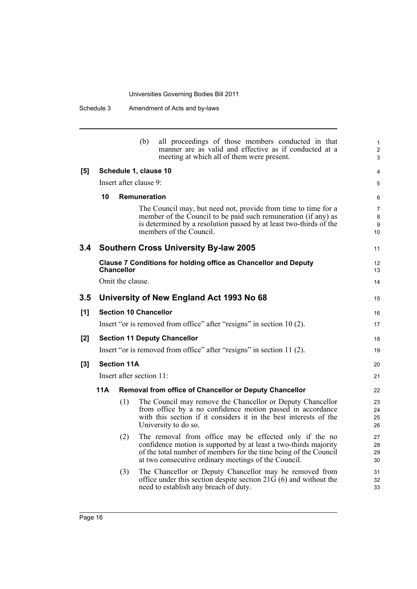|       |                                                                       |                    | (b)                          | all proceedings of those members conducted in that<br>manner are as valid and effective as if conducted at a<br>meeting at which all of them were present.                                                                                             | 1<br>$\overline{2}$<br>3                    |  |
|-------|-----------------------------------------------------------------------|--------------------|------------------------------|--------------------------------------------------------------------------------------------------------------------------------------------------------------------------------------------------------------------------------------------------------|---------------------------------------------|--|
| [5]   |                                                                       |                    | Schedule 1, clause 10        |                                                                                                                                                                                                                                                        | 4                                           |  |
|       |                                                                       |                    | Insert after clause 9:       |                                                                                                                                                                                                                                                        | 5                                           |  |
|       | 10                                                                    |                    | Remuneration                 |                                                                                                                                                                                                                                                        | 6                                           |  |
|       |                                                                       |                    |                              | The Council may, but need not, provide from time to time for a<br>member of the Council to be paid such remuneration (if any) as<br>is determined by a resolution passed by at least two-thirds of the<br>members of the Council.                      | $\overline{7}$<br>8<br>9<br>10 <sup>°</sup> |  |
| 3.4   |                                                                       |                    |                              | <b>Southern Cross University By-law 2005</b>                                                                                                                                                                                                           | 11                                          |  |
|       |                                                                       | <b>Chancellor</b>  |                              | <b>Clause 7 Conditions for holding office as Chancellor and Deputy</b>                                                                                                                                                                                 | 12<br>13                                    |  |
|       |                                                                       | Omit the clause.   |                              |                                                                                                                                                                                                                                                        | 14                                          |  |
| 3.5   |                                                                       |                    |                              | University of New England Act 1993 No 68                                                                                                                                                                                                               | 15                                          |  |
| [1]   |                                                                       |                    | <b>Section 10 Chancellor</b> |                                                                                                                                                                                                                                                        | 16                                          |  |
|       | Insert "or is removed from office" after "resigns" in section 10 (2). |                    |                              |                                                                                                                                                                                                                                                        |                                             |  |
| [2]   | <b>Section 11 Deputy Chancellor</b>                                   |                    |                              |                                                                                                                                                                                                                                                        |                                             |  |
|       |                                                                       |                    |                              | Insert "or is removed from office" after "resigns" in section 11 (2).                                                                                                                                                                                  | 19                                          |  |
| $[3]$ |                                                                       | <b>Section 11A</b> |                              |                                                                                                                                                                                                                                                        | 20                                          |  |
|       |                                                                       |                    | Insert after section 11:     |                                                                                                                                                                                                                                                        | 21                                          |  |
|       | 11A                                                                   |                    |                              | Removal from office of Chancellor or Deputy Chancellor                                                                                                                                                                                                 | 22                                          |  |
|       |                                                                       | (1)                |                              | The Council may remove the Chancellor or Deputy Chancellor<br>from office by a no confidence motion passed in accordance<br>with this section if it considers it in the best interests of the<br>University to do so.                                  | 23<br>24<br>25<br>26                        |  |
|       |                                                                       | (2)                |                              | The removal from office may be effected only if the no<br>confidence motion is supported by at least a two-thirds majority<br>of the total number of members for the time being of the Council<br>at two consecutive ordinary meetings of the Council. | 27<br>28<br>29<br>30                        |  |
|       |                                                                       | (3)                |                              | The Chancellor or Deputy Chancellor may be removed from<br>office under this section despite section $21\overline{G}(6)$ and without the<br>need to establish any breach of duty.                                                                      | 31<br>32<br>33                              |  |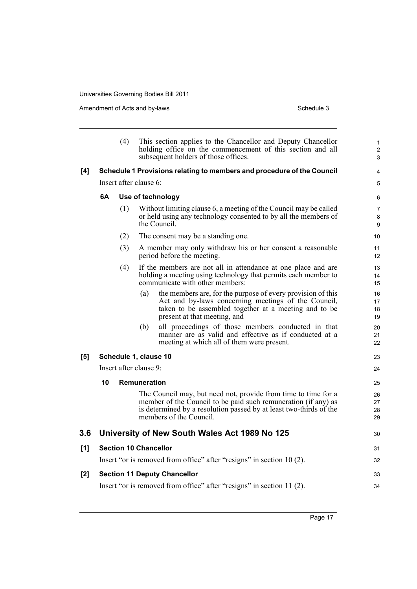|       |    | (4) | This section applies to the Chancellor and Deputy Chancellor<br>holding office on the commencement of this section and all<br>subsequent holders of those offices.                                                                | 1<br>$\overline{2}$<br>3 |
|-------|----|-----|-----------------------------------------------------------------------------------------------------------------------------------------------------------------------------------------------------------------------------------|--------------------------|
| [4]   |    |     | Schedule 1 Provisions relating to members and procedure of the Council                                                                                                                                                            | $\overline{4}$           |
|       |    |     | Insert after clause 6:                                                                                                                                                                                                            | 5                        |
|       | 6A |     | Use of technology                                                                                                                                                                                                                 | 6                        |
|       |    | (1) | Without limiting clause 6, a meeting of the Council may be called<br>or held using any technology consented to by all the members of<br>the Council.                                                                              | $\overline{7}$<br>8<br>9 |
|       |    | (2) | The consent may be a standing one.                                                                                                                                                                                                | 10 <sup>1</sup>          |
|       |    | (3) | A member may only withdraw his or her consent a reasonable<br>period before the meeting.                                                                                                                                          | 11<br>12 <sup>2</sup>    |
|       |    | (4) | If the members are not all in attendance at one place and are<br>holding a meeting using technology that permits each member to<br>communicate with other members:                                                                | 13<br>14<br>15           |
|       |    |     | the members are, for the purpose of every provision of this<br>(a)<br>Act and by-laws concerning meetings of the Council,<br>taken to be assembled together at a meeting and to be<br>present at that meeting, and                | 16<br>17<br>18<br>19     |
|       |    |     | all proceedings of those members conducted in that<br>(b)<br>manner are as valid and effective as if conducted at a<br>meeting at which all of them were present.                                                                 | 20<br>21<br>22           |
| [5]   |    |     | Schedule 1, clause 10                                                                                                                                                                                                             | 23                       |
|       |    |     | Insert after clause 9:                                                                                                                                                                                                            | 24                       |
|       | 10 |     | <b>Remuneration</b>                                                                                                                                                                                                               | 25                       |
|       |    |     | The Council may, but need not, provide from time to time for a<br>member of the Council to be paid such remuneration (if any) as<br>is determined by a resolution passed by at least two-thirds of the<br>members of the Council. | 26<br>27<br>28<br>29     |
| 3.6   |    |     | University of New South Wales Act 1989 No 125                                                                                                                                                                                     | 30                       |
| [1]   |    |     | <b>Section 10 Chancellor</b>                                                                                                                                                                                                      | 31                       |
|       |    |     | Insert "or is removed from office" after "resigns" in section 10(2).                                                                                                                                                              | 32                       |
| $[2]$ |    |     | <b>Section 11 Deputy Chancellor</b>                                                                                                                                                                                               | 33                       |
|       |    |     | Insert "or is removed from office" after "resigns" in section 11 (2).                                                                                                                                                             | 34                       |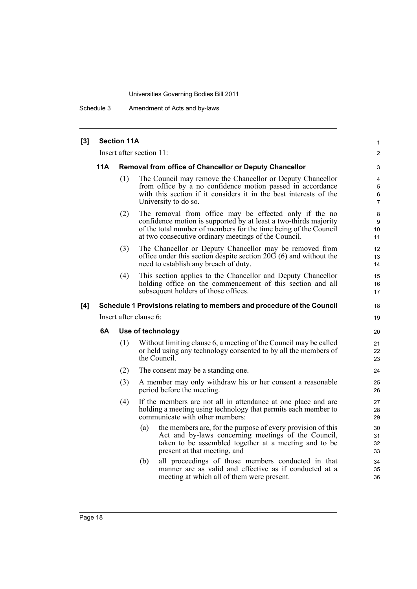Schedule 3 Amendment of Acts and by-laws

| [3] | <b>Section 11A</b>       |     |                                                                                                                                                                                                                                                        |                                         |  |  |  |
|-----|--------------------------|-----|--------------------------------------------------------------------------------------------------------------------------------------------------------------------------------------------------------------------------------------------------------|-----------------------------------------|--|--|--|
|     | Insert after section 11: |     |                                                                                                                                                                                                                                                        |                                         |  |  |  |
|     | 11A                      |     | <b>Removal from office of Chancellor or Deputy Chancellor</b>                                                                                                                                                                                          | 3                                       |  |  |  |
|     |                          | (1) | The Council may remove the Chancellor or Deputy Chancellor<br>from office by a no confidence motion passed in accordance<br>with this section if it considers it in the best interests of the<br>University to do so.                                  | 4<br>$\mathbf 5$<br>6<br>$\overline{7}$ |  |  |  |
|     |                          | (2) | The removal from office may be effected only if the no<br>confidence motion is supported by at least a two-thirds majority<br>of the total number of members for the time being of the Council<br>at two consecutive ordinary meetings of the Council. | 8<br>9<br>10 <sup>1</sup><br>11         |  |  |  |
|     |                          | (3) | The Chancellor or Deputy Chancellor may be removed from<br>office under this section despite section $20G(6)$ and without the<br>need to establish any breach of duty.                                                                                 | $12 \overline{ }$<br>13<br>14           |  |  |  |
|     |                          | (4) | This section applies to the Chancellor and Deputy Chancellor<br>holding office on the commencement of this section and all<br>subsequent holders of those offices.                                                                                     | 15<br>16<br>17                          |  |  |  |
| [4] |                          |     | Schedule 1 Provisions relating to members and procedure of the Council                                                                                                                                                                                 | 18                                      |  |  |  |
|     |                          |     | Insert after clause 6:                                                                                                                                                                                                                                 |                                         |  |  |  |
|     | 6A<br>Use of technology  |     | 20                                                                                                                                                                                                                                                     |                                         |  |  |  |
|     |                          | (1) | Without limiting clause 6, a meeting of the Council may be called<br>or held using any technology consented to by all the members of<br>the Council.                                                                                                   | 21<br>22<br>23                          |  |  |  |
|     |                          | (2) | The consent may be a standing one.                                                                                                                                                                                                                     | 24                                      |  |  |  |
|     |                          | (3) | A member may only withdraw his or her consent a reasonable<br>period before the meeting.                                                                                                                                                               | 25<br>26                                |  |  |  |
|     |                          | (4) | If the members are not all in attendance at one place and are<br>holding a meeting using technology that permits each member to<br>communicate with other members:                                                                                     | 27<br>28<br>29                          |  |  |  |
|     |                          |     | the members are, for the purpose of every provision of this<br>(a)<br>Act and by-laws concerning meetings of the Council,<br>taken to be assembled together at a meeting and to be<br>present at that meeting, and                                     | 30<br>31<br>32<br>33                    |  |  |  |
|     |                          |     | all proceedings of those members conducted in that<br>(b)<br>manner are as valid and effective as if conducted at a<br>meeting at which all of them were present.                                                                                      | 34<br>35<br>36                          |  |  |  |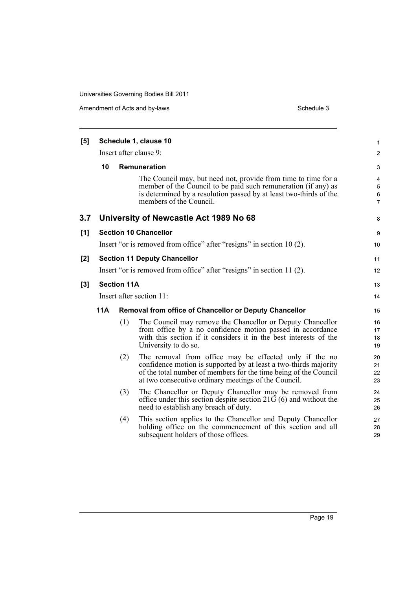| [5]   | Schedule 1, clause 10                                                                                                                                                                                                                                         |                    |                                                                                                                                                                                                                                   |                                         |  |  |  |
|-------|---------------------------------------------------------------------------------------------------------------------------------------------------------------------------------------------------------------------------------------------------------------|--------------------|-----------------------------------------------------------------------------------------------------------------------------------------------------------------------------------------------------------------------------------|-----------------------------------------|--|--|--|
|       | Insert after clause 9:                                                                                                                                                                                                                                        |                    |                                                                                                                                                                                                                                   |                                         |  |  |  |
|       | 10                                                                                                                                                                                                                                                            |                    | Remuneration                                                                                                                                                                                                                      | 3                                       |  |  |  |
|       |                                                                                                                                                                                                                                                               |                    | The Council may, but need not, provide from time to time for a<br>member of the Council to be paid such remuneration (if any) as<br>is determined by a resolution passed by at least two-thirds of the<br>members of the Council. | 4<br>$\mathbf 5$<br>6<br>$\overline{7}$ |  |  |  |
| 3.7   |                                                                                                                                                                                                                                                               |                    | University of Newcastle Act 1989 No 68                                                                                                                                                                                            | 8                                       |  |  |  |
| [1]   | <b>Section 10 Chancellor</b>                                                                                                                                                                                                                                  |                    |                                                                                                                                                                                                                                   |                                         |  |  |  |
|       |                                                                                                                                                                                                                                                               |                    | Insert "or is removed from office" after "resigns" in section 10 (2).                                                                                                                                                             | 10 <sup>1</sup>                         |  |  |  |
| [2]   | <b>Section 11 Deputy Chancellor</b>                                                                                                                                                                                                                           |                    |                                                                                                                                                                                                                                   |                                         |  |  |  |
|       | Insert "or is removed from office" after "resigns" in section 11 (2).                                                                                                                                                                                         |                    |                                                                                                                                                                                                                                   |                                         |  |  |  |
| $[3]$ |                                                                                                                                                                                                                                                               | <b>Section 11A</b> |                                                                                                                                                                                                                                   | 13                                      |  |  |  |
|       | Insert after section 11:                                                                                                                                                                                                                                      |                    |                                                                                                                                                                                                                                   |                                         |  |  |  |
|       | <b>11A</b><br>Removal from office of Chancellor or Deputy Chancellor                                                                                                                                                                                          |                    |                                                                                                                                                                                                                                   |                                         |  |  |  |
|       |                                                                                                                                                                                                                                                               | (1)                | The Council may remove the Chancellor or Deputy Chancellor<br>from office by a no confidence motion passed in accordance<br>with this section if it considers it in the best interests of the<br>University to do so.             | 16<br>17<br>18<br>19                    |  |  |  |
|       | The removal from office may be effected only if the no<br>(2)<br>confidence motion is supported by at least a two-thirds majority<br>of the total number of members for the time being of the Council<br>at two consecutive ordinary meetings of the Council. |                    |                                                                                                                                                                                                                                   |                                         |  |  |  |
|       |                                                                                                                                                                                                                                                               | (3)                | The Chancellor or Deputy Chancellor may be removed from<br>office under this section despite section $21G(6)$ and without the<br>need to establish any breach of duty.                                                            | 24<br>25<br>26                          |  |  |  |
|       |                                                                                                                                                                                                                                                               | (4)                | This section applies to the Chancellor and Deputy Chancellor<br>holding office on the commencement of this section and all<br>subsequent holders of those offices.                                                                | 27<br>28<br>29                          |  |  |  |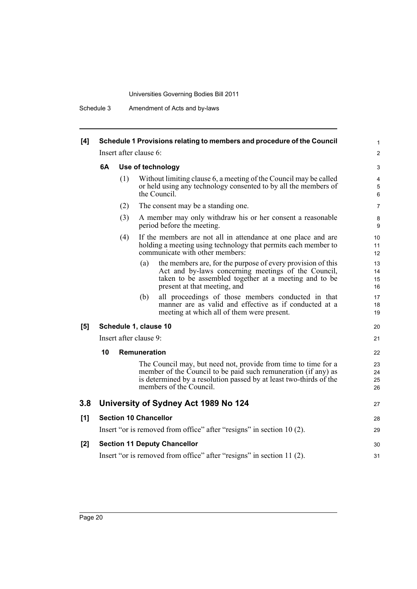Schedule 3 Amendment of Acts and by-laws

| Schedule 1 Provisions relating to members and procedure of the Council<br>Insert after clause 6: |     |                                                                                                                                                                                                                                   |                                                                                                                              |  |  |
|--------------------------------------------------------------------------------------------------|-----|-----------------------------------------------------------------------------------------------------------------------------------------------------------------------------------------------------------------------------------|------------------------------------------------------------------------------------------------------------------------------|--|--|
|                                                                                                  |     |                                                                                                                                                                                                                                   |                                                                                                                              |  |  |
|                                                                                                  | (1) | Without limiting clause 6, a meeting of the Council may be called<br>or held using any technology consented to by all the members of<br>the Council.                                                                              | 4<br>5<br>6                                                                                                                  |  |  |
|                                                                                                  | (2) | The consent may be a standing one.                                                                                                                                                                                                | 7                                                                                                                            |  |  |
|                                                                                                  | (3) | A member may only withdraw his or her consent a reasonable<br>period before the meeting.                                                                                                                                          | 8<br>9                                                                                                                       |  |  |
|                                                                                                  | (4) | If the members are not all in attendance at one place and are<br>holding a meeting using technology that permits each member to<br>communicate with other members:                                                                | 10<br>11<br>12                                                                                                               |  |  |
|                                                                                                  |     | the members are, for the purpose of every provision of this<br>(a)<br>Act and by-laws concerning meetings of the Council,<br>taken to be assembled together at a meeting and to be<br>present at that meeting, and                | 13<br>14<br>15<br>16                                                                                                         |  |  |
|                                                                                                  |     | all proceedings of those members conducted in that<br>(b)<br>manner are as valid and effective as if conducted at a<br>meeting at which all of them were present.                                                                 | 17<br>18<br>19                                                                                                               |  |  |
|                                                                                                  |     |                                                                                                                                                                                                                                   | 20                                                                                                                           |  |  |
|                                                                                                  |     |                                                                                                                                                                                                                                   | 21                                                                                                                           |  |  |
| 10                                                                                               |     |                                                                                                                                                                                                                                   | 22                                                                                                                           |  |  |
|                                                                                                  |     | The Council may, but need not, provide from time to time for a<br>member of the Council to be paid such remuneration (if any) as<br>is determined by a resolution passed by at least two-thirds of the<br>members of the Council. | 23<br>24<br>25<br>26                                                                                                         |  |  |
|                                                                                                  |     |                                                                                                                                                                                                                                   | 27                                                                                                                           |  |  |
|                                                                                                  |     |                                                                                                                                                                                                                                   |                                                                                                                              |  |  |
|                                                                                                  |     | <b>Section 10 Chancellor</b>                                                                                                                                                                                                      | 28                                                                                                                           |  |  |
|                                                                                                  |     | Insert "or is removed from office" after "resigns" in section 10 (2).                                                                                                                                                             | 29                                                                                                                           |  |  |
|                                                                                                  |     | <b>Section 11 Deputy Chancellor</b>                                                                                                                                                                                               | 30                                                                                                                           |  |  |
|                                                                                                  |     |                                                                                                                                                                                                                                   | Use of technology<br>Schedule 1, clause 10<br>Insert after clause 9:<br>Remuneration<br>University of Sydney Act 1989 No 124 |  |  |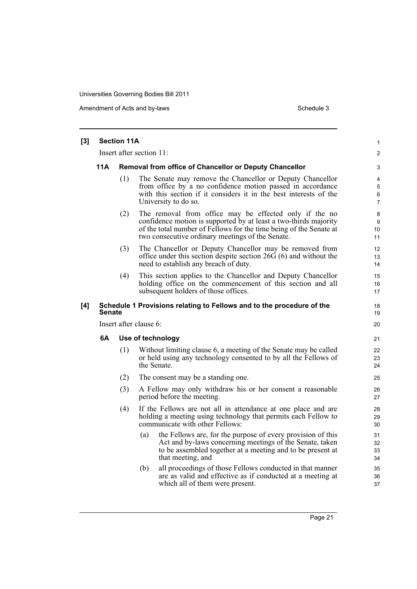| $[3]$ | <b>Section 11A</b>       |                        |                                                                                                                                                                                                                                                      |                                 |  |  |  |
|-------|--------------------------|------------------------|------------------------------------------------------------------------------------------------------------------------------------------------------------------------------------------------------------------------------------------------------|---------------------------------|--|--|--|
|       | Insert after section 11: |                        |                                                                                                                                                                                                                                                      |                                 |  |  |  |
|       | 11A                      |                        | Removal from office of Chancellor or Deputy Chancellor                                                                                                                                                                                               | 3                               |  |  |  |
|       |                          | (1)                    | The Senate may remove the Chancellor or Deputy Chancellor<br>from office by a no confidence motion passed in accordance<br>with this section if it considers it in the best interests of the<br>University to do so.                                 | 4<br>5<br>6<br>7                |  |  |  |
|       |                          | (2)                    | The removal from office may be effected only if the no<br>confidence motion is supported by at least a two-thirds majority<br>of the total number of Fellows for the time being of the Senate at<br>two consecutive ordinary meetings of the Senate. | 8<br>9<br>10 <sup>°</sup><br>11 |  |  |  |
|       |                          | (3)                    | The Chancellor or Deputy Chancellor may be removed from<br>office under this section despite section $26\overline{G}$ (6) and without the<br>need to establish any breach of duty.                                                                   | 12<br>13<br>14                  |  |  |  |
|       |                          | (4)                    | This section applies to the Chancellor and Deputy Chancellor<br>holding office on the commencement of this section and all<br>subsequent holders of those offices.                                                                                   | 15<br>16<br>17                  |  |  |  |
| [4]   | <b>Senate</b>            |                        | Schedule 1 Provisions relating to Fellows and to the procedure of the                                                                                                                                                                                | 18<br>19                        |  |  |  |
|       |                          | Insert after clause 6: |                                                                                                                                                                                                                                                      |                                 |  |  |  |
|       | 6A                       |                        | Use of technology                                                                                                                                                                                                                                    |                                 |  |  |  |
|       |                          | (1)                    | Without limiting clause 6, a meeting of the Senate may be called<br>or held using any technology consented to by all the Fellows of<br>the Senate.                                                                                                   | 22<br>23<br>24                  |  |  |  |
|       |                          | (2)                    | The consent may be a standing one.                                                                                                                                                                                                                   | 25                              |  |  |  |
|       |                          | (3)                    | A Fellow may only withdraw his or her consent a reasonable<br>period before the meeting.                                                                                                                                                             | 26<br>27                        |  |  |  |
|       |                          | (4)                    | If the Fellows are not all in attendance at one place and are<br>holding a meeting using technology that permits each Fellow to<br>communicate with other Fellows:                                                                                   | 28<br>29<br>30                  |  |  |  |
|       |                          |                        | the Fellows are, for the purpose of every provision of this<br>(a)<br>Act and by-laws concerning meetings of the Senate, taken<br>to be assembled together at a meeting and to be present at<br>that meeting, and                                    | 31<br>32<br>33<br>34            |  |  |  |
|       |                          |                        | all proceedings of those Fellows conducted in that manner<br>(b)<br>are as valid and effective as if conducted at a meeting at<br>which all of them were present.                                                                                    | 35<br>36<br>37                  |  |  |  |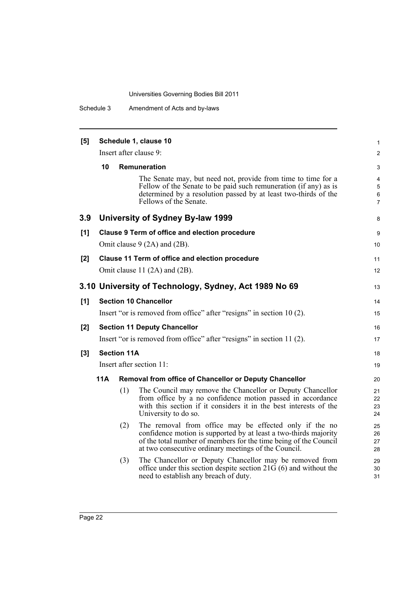| [5] | Schedule 1, clause 10                                       |                    |                                                                                                                                                                                                                                                        |                                |  |  |  |
|-----|-------------------------------------------------------------|--------------------|--------------------------------------------------------------------------------------------------------------------------------------------------------------------------------------------------------------------------------------------------------|--------------------------------|--|--|--|
|     |                                                             |                    | Insert after clause 9:                                                                                                                                                                                                                                 | $\mathbf{1}$<br>$\overline{2}$ |  |  |  |
|     | 10                                                          |                    | <b>Remuneration</b>                                                                                                                                                                                                                                    | 3                              |  |  |  |
|     |                                                             |                    | The Senate may, but need not, provide from time to time for a<br>Fellow of the Senate to be paid such remuneration (if any) as is<br>determined by a resolution passed by at least two-thirds of the<br>Fellows of the Senate.                         | 4<br>5<br>6<br>$\overline{7}$  |  |  |  |
| 3.9 |                                                             |                    | University of Sydney By-law 1999                                                                                                                                                                                                                       | 8                              |  |  |  |
| [1] |                                                             |                    | Clause 9 Term of office and election procedure                                                                                                                                                                                                         | 9                              |  |  |  |
|     |                                                             |                    | Omit clause $9(2A)$ and $(2B)$ .                                                                                                                                                                                                                       | 10 <sup>°</sup>                |  |  |  |
| [2] |                                                             |                    | Clause 11 Term of office and election procedure                                                                                                                                                                                                        | 11                             |  |  |  |
|     |                                                             |                    | Omit clause 11 (2A) and (2B).                                                                                                                                                                                                                          | 12 <sup>2</sup>                |  |  |  |
|     | 3.10 University of Technology, Sydney, Act 1989 No 69<br>13 |                    |                                                                                                                                                                                                                                                        |                                |  |  |  |
| [1] |                                                             |                    | <b>Section 10 Chancellor</b>                                                                                                                                                                                                                           | 14                             |  |  |  |
|     |                                                             |                    | Insert "or is removed from office" after "resigns" in section 10 (2).                                                                                                                                                                                  | 15                             |  |  |  |
| [2] |                                                             |                    | <b>Section 11 Deputy Chancellor</b>                                                                                                                                                                                                                    | 16                             |  |  |  |
|     |                                                             |                    | Insert "or is removed from office" after "resigns" in section 11 (2).                                                                                                                                                                                  | 17                             |  |  |  |
| [3] |                                                             | <b>Section 11A</b> |                                                                                                                                                                                                                                                        | 18                             |  |  |  |
|     |                                                             |                    | Insert after section 11:                                                                                                                                                                                                                               | 19                             |  |  |  |
|     | 11A                                                         |                    | <b>Removal from office of Chancellor or Deputy Chancellor</b>                                                                                                                                                                                          | 20                             |  |  |  |
|     |                                                             | (1)                | The Council may remove the Chancellor or Deputy Chancellor<br>from office by a no confidence motion passed in accordance<br>with this section if it considers it in the best interests of the<br>University to do so.                                  | 21<br>22<br>23<br>24           |  |  |  |
|     |                                                             | (2)                | The removal from office may be effected only if the no<br>confidence motion is supported by at least a two-thirds majority<br>of the total number of members for the time being of the Council<br>at two consecutive ordinary meetings of the Council. | 25<br>26<br>27<br>28           |  |  |  |
|     |                                                             | (3)                | The Chancellor or Deputy Chancellor may be removed from<br>office under this section despite section $21\overline{G}(6)$ and without the<br>need to establish any breach of duty.                                                                      | 29<br>30<br>31                 |  |  |  |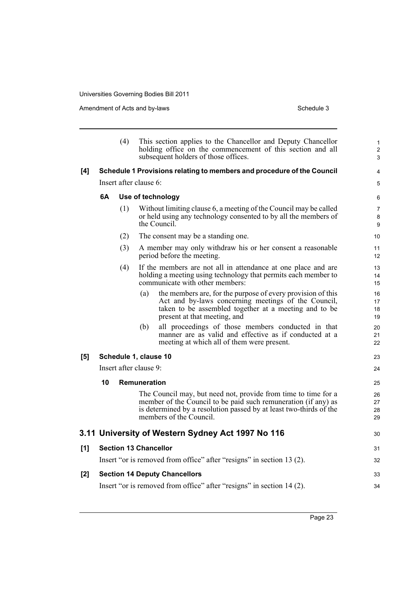|       |    | (4)                          |              | This section applies to the Chancellor and Deputy Chancellor<br>holding office on the commencement of this section and all<br>subsequent holders of those offices.                                                                | 1<br>$\overline{\mathbf{c}}$<br>3 |
|-------|----|------------------------------|--------------|-----------------------------------------------------------------------------------------------------------------------------------------------------------------------------------------------------------------------------------|-----------------------------------|
| [4]   |    |                              |              | Schedule 1 Provisions relating to members and procedure of the Council                                                                                                                                                            | 4                                 |
|       |    | Insert after clause 6:       |              |                                                                                                                                                                                                                                   | 5                                 |
|       | 6A |                              |              | Use of technology                                                                                                                                                                                                                 | 6                                 |
|       |    | (1)                          |              | Without limiting clause 6, a meeting of the Council may be called<br>or held using any technology consented to by all the members of<br>the Council.                                                                              | 7<br>8<br>9                       |
|       |    | (2)                          |              | The consent may be a standing one.                                                                                                                                                                                                | 10                                |
|       |    | (3)                          |              | A member may only withdraw his or her consent a reasonable<br>period before the meeting.                                                                                                                                          | 11<br>12                          |
|       |    | (4)                          |              | If the members are not all in attendance at one place and are<br>holding a meeting using technology that permits each member to<br>communicate with other members:                                                                | 13<br>14<br>15                    |
|       |    |                              | (a)          | the members are, for the purpose of every provision of this<br>Act and by-laws concerning meetings of the Council,<br>taken to be assembled together at a meeting and to be<br>present at that meeting, and                       | 16<br>17<br>18<br>19              |
|       |    |                              | (b)          | all proceedings of those members conducted in that<br>manner are as valid and effective as if conducted at a<br>meeting at which all of them were present.                                                                        | 20<br>21<br>22                    |
| [5]   |    | Schedule 1, clause 10        |              |                                                                                                                                                                                                                                   | 23                                |
|       |    | Insert after clause 9:       |              |                                                                                                                                                                                                                                   | 24                                |
|       | 10 |                              | Remuneration |                                                                                                                                                                                                                                   | 25                                |
|       |    |                              |              | The Council may, but need not, provide from time to time for a<br>member of the Council to be paid such remuneration (if any) as<br>is determined by a resolution passed by at least two-thirds of the<br>members of the Council. | 26<br>27<br>28<br>29              |
|       |    |                              |              | 3.11 University of Western Sydney Act 1997 No 116                                                                                                                                                                                 | 30                                |
| [1]   |    | <b>Section 13 Chancellor</b> |              |                                                                                                                                                                                                                                   | 31                                |
|       |    |                              |              | Insert "or is removed from office" after "resigns" in section 13 (2).                                                                                                                                                             | 32                                |
| $[2]$ |    |                              |              | <b>Section 14 Deputy Chancellors</b>                                                                                                                                                                                              | 33                                |
|       |    |                              |              | Insert "or is removed from office" after "resigns" in section 14 (2).                                                                                                                                                             | 34                                |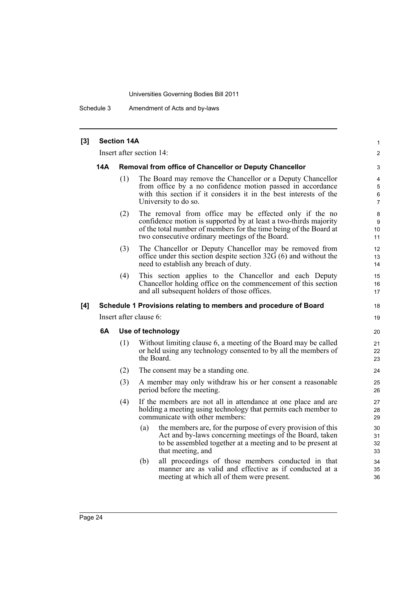Schedule 3 Amendment of Acts and by-laws

| [3] | <b>Section 14A</b>                                               |                        |                                                                                                                                                                                                                                                    |                               |  |  |  |
|-----|------------------------------------------------------------------|------------------------|----------------------------------------------------------------------------------------------------------------------------------------------------------------------------------------------------------------------------------------------------|-------------------------------|--|--|--|
|     | Insert after section 14:                                         |                        |                                                                                                                                                                                                                                                    |                               |  |  |  |
|     | 14A                                                              |                        | Removal from office of Chancellor or Deputy Chancellor                                                                                                                                                                                             | 3                             |  |  |  |
|     |                                                                  | (1)                    | The Board may remove the Chancellor or a Deputy Chancellor<br>from office by a no confidence motion passed in accordance<br>with this section if it considers it in the best interests of the<br>University to do so.                              | 4<br>5<br>6<br>$\overline{7}$ |  |  |  |
|     |                                                                  | (2)                    | The removal from office may be effected only if the no<br>confidence motion is supported by at least a two-thirds majority<br>of the total number of members for the time being of the Board at<br>two consecutive ordinary meetings of the Board. | 8<br>9<br>10<br>11            |  |  |  |
|     |                                                                  | (3)                    | The Chancellor or Deputy Chancellor may be removed from<br>office under this section despite section $32\overline{G}(6)$ and without the<br>need to establish any breach of duty.                                                                  | 12<br>13<br>14                |  |  |  |
|     |                                                                  | (4)                    | This section applies to the Chancellor and each Deputy<br>Chancellor holding office on the commencement of this section<br>and all subsequent holders of those offices.                                                                            | 15<br>16<br>17                |  |  |  |
| [4] | Schedule 1 Provisions relating to members and procedure of Board |                        |                                                                                                                                                                                                                                                    |                               |  |  |  |
|     |                                                                  | Insert after clause 6: |                                                                                                                                                                                                                                                    |                               |  |  |  |
|     | 6A                                                               |                        | Use of technology                                                                                                                                                                                                                                  | 20                            |  |  |  |
|     |                                                                  | (1)                    | Without limiting clause 6, a meeting of the Board may be called<br>or held using any technology consented to by all the members of<br>the Board.                                                                                                   | 21<br>22<br>23                |  |  |  |
|     |                                                                  | (2)                    | The consent may be a standing one.                                                                                                                                                                                                                 | 24                            |  |  |  |
|     |                                                                  | (3)                    | A member may only withdraw his or her consent a reasonable<br>period before the meeting.                                                                                                                                                           | 25<br>26                      |  |  |  |
|     |                                                                  | (4)                    | If the members are not all in attendance at one place and are<br>holding a meeting using technology that permits each member to<br>communicate with other members:                                                                                 | 27<br>28<br>29                |  |  |  |
|     |                                                                  |                        | the members are, for the purpose of every provision of this<br>(a)<br>Act and by-laws concerning meetings of the Board, taken<br>to be assembled together at a meeting and to be present at<br>that meeting, and                                   | 30<br>31<br>32<br>33          |  |  |  |
|     |                                                                  |                        | all proceedings of those members conducted in that<br>(b)<br>manner are as valid and effective as if conducted at a<br>meeting at which all of them were present.                                                                                  | 34<br>35<br>36                |  |  |  |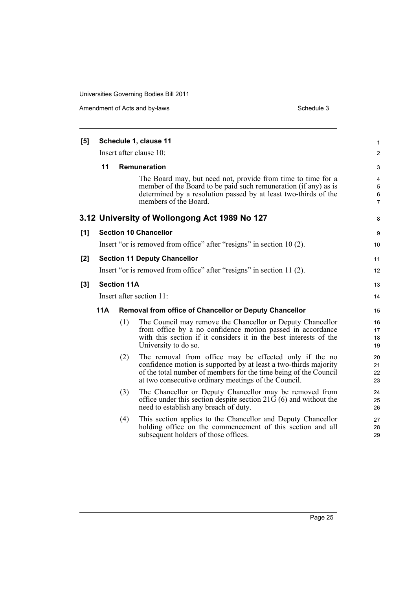| [5]   | Schedule 1, clause 11                                                 |     |                                                                                                                                                                                                                                                        |                               |  |  |  |  |
|-------|-----------------------------------------------------------------------|-----|--------------------------------------------------------------------------------------------------------------------------------------------------------------------------------------------------------------------------------------------------------|-------------------------------|--|--|--|--|
|       | Insert after clause 10:                                               |     |                                                                                                                                                                                                                                                        |                               |  |  |  |  |
|       | 11<br>Remuneration                                                    |     |                                                                                                                                                                                                                                                        |                               |  |  |  |  |
|       |                                                                       |     | The Board may, but need not, provide from time to time for a<br>member of the Board to be paid such remuneration (if any) as is<br>determined by a resolution passed by at least two-thirds of the<br>members of the Board.                            | 4<br>5<br>6<br>$\overline{7}$ |  |  |  |  |
|       |                                                                       |     | 3.12 University of Wollongong Act 1989 No 127                                                                                                                                                                                                          | 8                             |  |  |  |  |
| [1]   |                                                                       |     | <b>Section 10 Chancellor</b>                                                                                                                                                                                                                           | 9                             |  |  |  |  |
|       |                                                                       |     | Insert "or is removed from office" after "resigns" in section 10 (2).                                                                                                                                                                                  | 10 <sup>°</sup>               |  |  |  |  |
| [2]   | <b>Section 11 Deputy Chancellor</b>                                   |     |                                                                                                                                                                                                                                                        |                               |  |  |  |  |
|       | Insert "or is removed from office" after "resigns" in section 11 (2). |     |                                                                                                                                                                                                                                                        |                               |  |  |  |  |
| $[3]$ | <b>Section 11A</b>                                                    |     |                                                                                                                                                                                                                                                        |                               |  |  |  |  |
|       | Insert after section 11:                                              |     |                                                                                                                                                                                                                                                        |                               |  |  |  |  |
|       | 11A<br><b>Removal from office of Chancellor or Deputy Chancellor</b>  |     |                                                                                                                                                                                                                                                        |                               |  |  |  |  |
|       |                                                                       | (1) | The Council may remove the Chancellor or Deputy Chancellor<br>from office by a no confidence motion passed in accordance<br>with this section if it considers it in the best interests of the<br>University to do so.                                  | 16<br>17<br>18<br>19          |  |  |  |  |
| (2)   |                                                                       |     | The removal from office may be effected only if the no<br>confidence motion is supported by at least a two-thirds majority<br>of the total number of members for the time being of the Council<br>at two consecutive ordinary meetings of the Council. | 20<br>21<br>22<br>23          |  |  |  |  |
|       |                                                                       | (3) | The Chancellor or Deputy Chancellor may be removed from<br>office under this section despite section $21\overline{G}(6)$ and without the<br>need to establish any breach of duty.                                                                      | 24<br>25<br>26                |  |  |  |  |
|       |                                                                       | (4) | This section applies to the Chancellor and Deputy Chancellor<br>holding office on the commencement of this section and all<br>subsequent holders of those offices.                                                                                     | 27<br>28<br>29                |  |  |  |  |